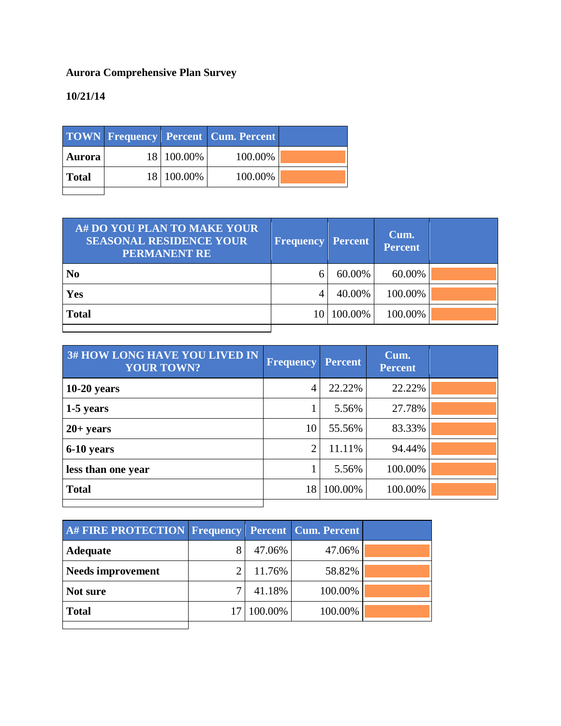## **Aurora Comprehensive Plan Survey**

## **10/21/14**

|               |            | <b>TOWN Frequency Percent Cum. Percent</b> |  |
|---------------|------------|--------------------------------------------|--|
| <b>Aurora</b> | 18 100.00% | 100.00%                                    |  |
| <b>Total</b>  | 18 100.00% | 100.00%                                    |  |
|               |            |                                            |  |

| A# DO YOU PLAN TO MAKE YOUR<br><b>SEASONAL RESIDENCE YOUR</b><br><b>PERMANENT RE</b> | <b>Frequency Percent</b> |            | Cum.<br><b>Percent</b> |  |
|--------------------------------------------------------------------------------------|--------------------------|------------|------------------------|--|
| N <sub>0</sub>                                                                       | 6                        | 60.00%     | 60.00%                 |  |
| <b>Yes</b>                                                                           |                          | 40.00%     | 100.00%                |  |
| <b>Total</b>                                                                         |                          | 10 100.00% | 100.00%                |  |
|                                                                                      |                          |            |                        |  |

| <b>Frequency</b> | <b>Percent</b> | Cum.<br><b>Percent</b> |  |
|------------------|----------------|------------------------|--|
| 4                | 22.22%         | 22.22%                 |  |
|                  | 5.56%          | 27.78%                 |  |
| 10               | 55.56%         | 83.33%                 |  |
| $\overline{2}$   | 11.11%         | 94.44%                 |  |
|                  | 5.56%          | 100.00%                |  |
| 18               | 100.00%        | 100.00%                |  |
|                  |                |                        |  |

| A# FIRE PROTECTION Frequency Percent Cum. Percent |            |         |  |
|---------------------------------------------------|------------|---------|--|
| <b>Adequate</b>                                   | 47.06%     | 47.06%  |  |
| <b>Needs improvement</b>                          | 11.76%     | 58.82%  |  |
| Not sure                                          | 41.18%     | 100.00% |  |
| <b>Total</b>                                      | 17 100.00% | 100.00% |  |
|                                                   |            |         |  |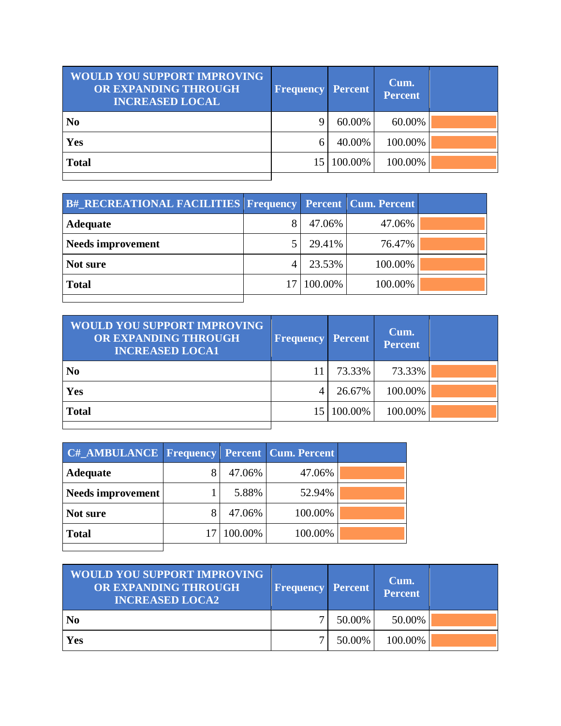| <b>WOULD YOU SUPPORT IMPROVING</b><br>OR EXPANDING THROUGH<br><b>INCREASED LOCAL</b> | <b>Frequency</b> | <b>Percent</b> | Cum.<br><b>Percent</b> |  |
|--------------------------------------------------------------------------------------|------------------|----------------|------------------------|--|
| N <sub>0</sub>                                                                       |                  | 60.00%         | 60.00%                 |  |
| Yes                                                                                  | 6                | 40.00%         | 100.00%                |  |
| <b>Total</b>                                                                         | 15               | 100.00%        | 100.00%                |  |
|                                                                                      |                  |                |                        |  |

| <b>B#_RECREATIONAL FACILITIES Frequency Percent Cum. Percent</b> |            |         |  |
|------------------------------------------------------------------|------------|---------|--|
| <b>Adequate</b>                                                  | 47.06%     | 47.06%  |  |
| <b>Needs improvement</b>                                         | 29.41%     | 76.47%  |  |
| Not sure                                                         | 23.53%     | 100.00% |  |
| <b>Total</b>                                                     | 17 100.00% | 100.00% |  |
|                                                                  |            |         |  |

| <b>WOULD YOU SUPPORT IMPROVING</b><br><b>OR EXPANDING THROUGH</b><br><b>INCREASED LOCA1</b> | <b>Frequency</b> | <b>Percent</b> | Cum.<br><b>Percent</b> |  |
|---------------------------------------------------------------------------------------------|------------------|----------------|------------------------|--|
| N <sub>0</sub>                                                                              |                  | 73.33%         | 73.33%                 |  |
| Yes                                                                                         | 4                | 26.67%         | 100.00%                |  |
| <b>Total</b>                                                                                | 15               | 100.00%        | 100.00%                |  |
|                                                                                             |                  |                |                        |  |

| <b>C#_AMBULANCE Frequency Percent Cum. Percent</b> |         |         |  |
|----------------------------------------------------|---------|---------|--|
| <b>Adequate</b>                                    | 47.06%  | 47.06%  |  |
| Needs improvement                                  | 5.88%   | 52.94%  |  |
| Not sure                                           | 47.06%  | 100.00% |  |
| <b>Total</b>                                       | 100.00% | 100.00% |  |
|                                                    |         |         |  |

| <b>WOULD YOU SUPPORT IMPROVING</b><br>OR EXPANDING THROUGH<br><b>INCREASED LOCA2</b> | <b>Frequency Percent</b> |        | Cum.<br>Percent |  |
|--------------------------------------------------------------------------------------|--------------------------|--------|-----------------|--|
| N <sub>0</sub>                                                                       |                          | 50.00% | 50.00%          |  |
| Yes                                                                                  |                          | 50.00% | 100.00%         |  |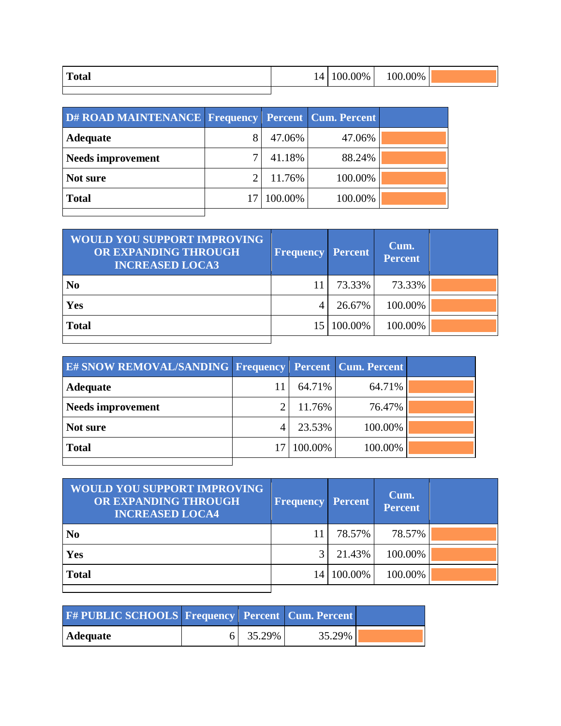| <b>Total</b> | 14 | 00.00% | 100.00% |  |
|--------------|----|--------|---------|--|
|              |    |        |         |  |

| D# ROAD MAINTENANCE Frequency Percent Cum. Percent |         |         |  |
|----------------------------------------------------|---------|---------|--|
| <b>Adequate</b>                                    | 47.06%  | 47.06%  |  |
| <b>Needs improvement</b>                           | 41.18%  | 88.24%  |  |
| Not sure                                           | 11.76%  | 100.00% |  |
| <b>Total</b>                                       | 100.00% | 100.00% |  |
|                                                    |         |         |  |

| <b>WOULD YOU SUPPORT IMPROVING</b><br>OR EXPANDING THROUGH<br><b>INCREASED LOCA3</b> | <b>Frequency Percent</b> |         | Cum.<br><b>Percent</b> |  |
|--------------------------------------------------------------------------------------|--------------------------|---------|------------------------|--|
| N <sub>0</sub>                                                                       |                          | 73.33%  | 73.33%                 |  |
| <b>Yes</b>                                                                           | 4                        | 26.67%  | 100.00%                |  |
| <b>Total</b>                                                                         | 151                      | 100.00% | 100.00%                |  |
|                                                                                      |                          |         |                        |  |

| <b>E# SNOW REMOVAL/SANDING Frequency Percent Cum. Percent</b> |         |         |  |
|---------------------------------------------------------------|---------|---------|--|
| <b>Adequate</b>                                               | 64.71%  | 64.71%  |  |
| <b>Needs improvement</b>                                      | 11.76%  | 76.47%  |  |
| Not sure                                                      | 23.53%  | 100.00% |  |
| <b>Total</b>                                                  | 100.00% | 100.00% |  |
|                                                               |         |         |  |

| <b>WOULD YOU SUPPORT IMPROVING</b><br>OR EXPANDING THROUGH<br><b>INCREASED LOCA4</b> | <b>Frequency Percent</b> |         | Cum.<br><b>Percent</b> |  |
|--------------------------------------------------------------------------------------|--------------------------|---------|------------------------|--|
| N <sub>0</sub>                                                                       |                          | 78.57%  | 78.57%                 |  |
| Yes                                                                                  |                          | 21.43%  | 100.00%                |  |
| <b>Total</b>                                                                         | 14                       | 100.00% | 100.00%                |  |
|                                                                                      |                          |         |                        |  |

| <b>F# PUBLIC SCHOOLS Frequency Percent Cum. Percent</b> |          |        |  |
|---------------------------------------------------------|----------|--------|--|
| Adequate                                                | 6 35.29% | 35.29% |  |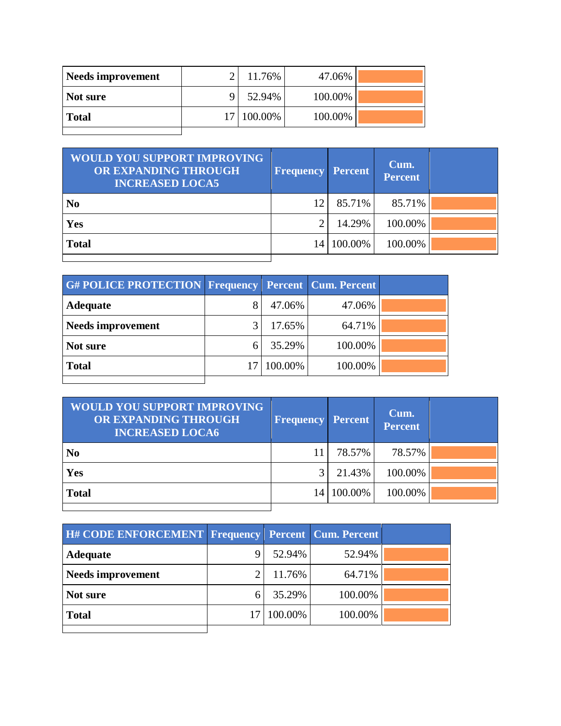| Needs improvement | 11.76%     | 47.06%  |  |
|-------------------|------------|---------|--|
| Not sure          | 52.94%     | 100.00% |  |
| <b>Total</b>      | 17 100.00% | 100.00% |  |
|                   |            |         |  |

| <b>WOULD YOU SUPPORT IMPROVING</b><br>OR EXPANDING THROUGH<br><b>INCREASED LOCA5</b> | <b>Frequency Percent</b> |         | Cum.<br><b>Percent</b> |  |
|--------------------------------------------------------------------------------------|--------------------------|---------|------------------------|--|
| N <sub>0</sub>                                                                       | 12                       | 85.71%  | 85.71%                 |  |
| Yes                                                                                  |                          | 14.29%  | 100.00%                |  |
| <b>Total</b>                                                                         | 14                       | 100.00% | 100.00%                |  |
|                                                                                      |                          |         |                        |  |

| 47.06%  | 47.06%  |                                                           |
|---------|---------|-----------------------------------------------------------|
| 17.65%  | 64.71%  |                                                           |
| 35.29%  | 100.00% |                                                           |
| 100.00% | 100.00% |                                                           |
|         |         | <b>G#POLICE PROTECTION Frequency Percent Cum. Percent</b> |

| <b>WOULD YOU SUPPORT IMPROVING</b><br>OR EXPANDING THROUGH<br><b>INCREASED LOCA6</b> | <b>Frequency Percent</b> |         | Cum.<br><b>Percent</b> |  |
|--------------------------------------------------------------------------------------|--------------------------|---------|------------------------|--|
| N <sub>0</sub>                                                                       |                          | 78.57%  | 78.57%                 |  |
| Yes                                                                                  |                          | 21.43%  | 100.00%                |  |
| <b>Total</b>                                                                         | 14                       | 100.00% | 100.00%                |  |
|                                                                                      |                          |         |                        |  |

| H# CODE ENFORCEMENT Frequency Percent Cum. Percent |         |         |  |
|----------------------------------------------------|---------|---------|--|
| <b>Adequate</b>                                    | 52.94%  | 52.94%  |  |
| <b>Needs improvement</b>                           | 11.76%  | 64.71%  |  |
| Not sure                                           | 35.29%  | 100.00% |  |
| <b>Total</b>                                       | 100.00% | 100.00% |  |
|                                                    |         |         |  |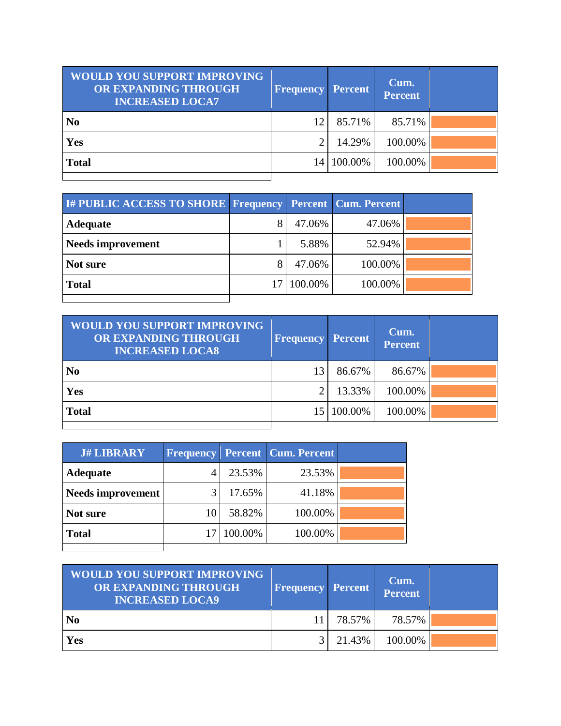| <b>WOULD YOU SUPPORT IMPROVING</b><br>OR EXPANDING THROUGH<br><b>INCREASED LOCA7</b> | <b>Frequency Percent</b> |         | Cum.<br><b>Percent</b> |  |
|--------------------------------------------------------------------------------------|--------------------------|---------|------------------------|--|
| N <sub>0</sub>                                                                       | 12                       | 85.71%  | 85.71%                 |  |
| Yes                                                                                  | ◠                        | 14.29%  | 100.00%                |  |
| <b>Total</b>                                                                         | 14                       | 100.00% | 100.00%                |  |
|                                                                                      |                          |         |                        |  |

| I# PUBLIC ACCESS TO SHORE Frequency Percent Cum. Percent |         |         |  |
|----------------------------------------------------------|---------|---------|--|
| <b>Adequate</b>                                          | 47.06%  | 47.06%  |  |
| <b>Needs improvement</b>                                 | 5.88%   | 52.94%  |  |
| Not sure                                                 | 47.06%  | 100.00% |  |
| <b>Total</b>                                             | 100.00% | 100.00% |  |
|                                                          |         |         |  |

| <b>WOULD YOU SUPPORT IMPROVING</b><br>OR EXPANDING THROUGH<br><b>INCREASED LOCA8</b> | <b>Frequency</b> | <b>Percent</b> | Cum.<br><b>Percent</b> |  |
|--------------------------------------------------------------------------------------|------------------|----------------|------------------------|--|
| N <sub>0</sub>                                                                       | 13               | 86.67%         | 86.67%                 |  |
| Yes                                                                                  |                  | 13.33%         | 100.00%                |  |
| <b>Total</b>                                                                         | 15               | 100.00%        | 100.00%                |  |
|                                                                                      |                  |                |                        |  |

| <b>J# LIBRARY</b>        |    |         | <b>Frequency Percent Cum. Percent</b> |  |
|--------------------------|----|---------|---------------------------------------|--|
| <b>Adequate</b>          |    | 23.53%  | 23.53%                                |  |
| <b>Needs improvement</b> |    | 17.65%  | 41.18%                                |  |
| Not sure                 | 10 | 58.82%  | 100.00%                               |  |
| <b>Total</b>             |    | 100.00% | 100.00%                               |  |
|                          |    |         |                                       |  |

| <b>WOULD YOU SUPPORT IMPROVING</b><br>OR EXPANDING THROUGH<br><b>INCREASED LOCA9</b> | <b>Frequency Percent</b> |        | Cum.<br>Percent |  |
|--------------------------------------------------------------------------------------|--------------------------|--------|-----------------|--|
| N <sub>0</sub>                                                                       |                          | 78.57% | 78.57%          |  |
| Yes                                                                                  |                          | 21.43% | 100.00%         |  |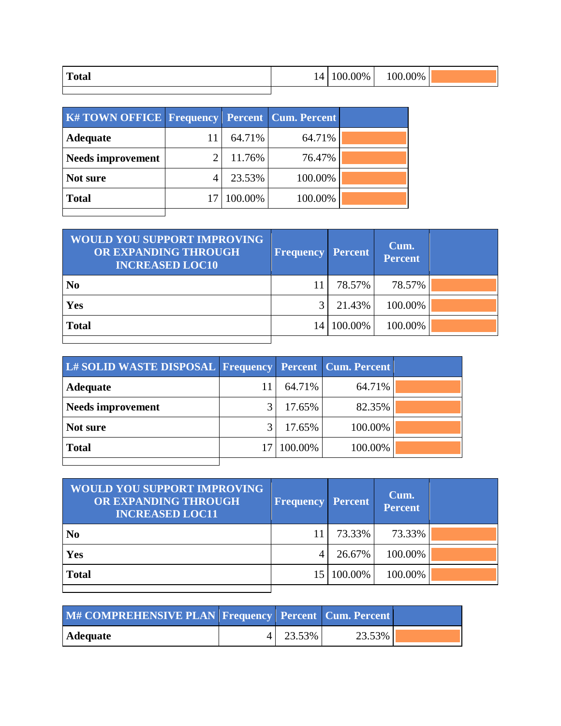| <b>Total</b> | 14 | $0.00\%$ | 100.00% |  |
|--------------|----|----------|---------|--|
|              |    |          |         |  |

| <b>K#TOWN OFFICE   Frequency   Percent   Cum. Percent  </b> |         |         |  |
|-------------------------------------------------------------|---------|---------|--|
| Adequate                                                    | 64.71%  | 64.71%  |  |
| <b>Needs improvement</b>                                    | 11.76%  | 76.47%  |  |
| Not sure                                                    | 23.53%  | 100.00% |  |
| <b>Total</b>                                                | 100.00% | 100.00% |  |
|                                                             |         |         |  |

| <b>WOULD YOU SUPPORT IMPROVING</b><br>OR EXPANDING THROUGH<br><b>INCREASED LOC10</b> | <b>Frequency</b> | <b>Percent</b> | Cum.<br><b>Percent</b> |  |
|--------------------------------------------------------------------------------------|------------------|----------------|------------------------|--|
| N <sub>0</sub>                                                                       | 11.              | 78.57%         | 78.57%                 |  |
| <b>Yes</b>                                                                           |                  | 21.43%         | 100.00%                |  |
| <b>Total</b>                                                                         | $\vert 4 \vert$  | 100.00%        | 100.00%                |  |
|                                                                                      |                  |                |                        |  |

| L# SOLID WASTE DISPOSAL Frequency Percent Cum. Percent |            |         |  |
|--------------------------------------------------------|------------|---------|--|
| <b>Adequate</b>                                        | 64.71%     | 64.71%  |  |
| <b>Needs improvement</b>                               | 17.65%     | 82.35%  |  |
| Not sure                                               | 17.65%     | 100.00% |  |
| <b>Total</b>                                           | 17 100.00% | 100.00% |  |
|                                                        |            |         |  |

| <b>WOULD YOU SUPPORT IMPROVING</b><br>OR EXPANDING THROUGH<br><b>INCREASED LOC11</b> | <b>Frequency Percent</b> |         | Cum.<br><b>Percent</b> |  |
|--------------------------------------------------------------------------------------|--------------------------|---------|------------------------|--|
| N <sub>0</sub>                                                                       |                          | 73.33%  | 73.33%                 |  |
| Yes                                                                                  | 4                        | 26.67%  | 100.00%                |  |
| <b>Total</b>                                                                         |                          | 100.00% | 100.00%                |  |
|                                                                                      |                          |         |                        |  |

| M# COMPREHENSIVE PLAN Frequency Percent Cum. Percent |          |        |  |
|------------------------------------------------------|----------|--------|--|
| Adequate                                             | 4 23.53% | 23.53% |  |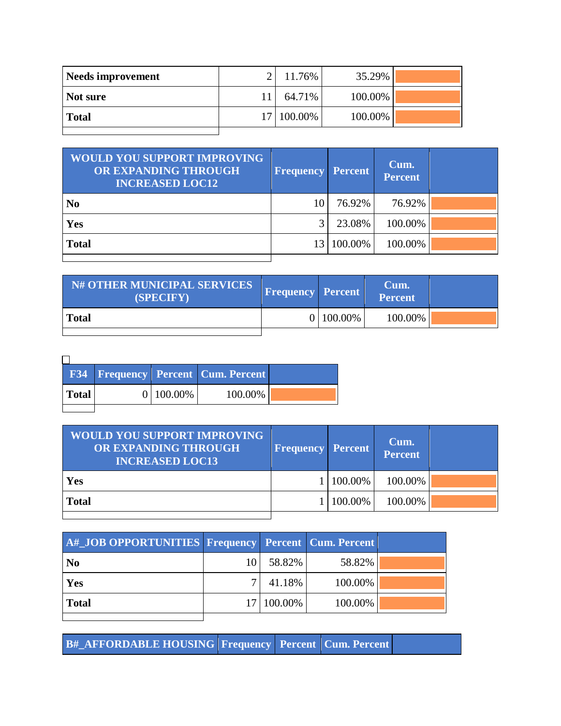| <b>Needs improvement</b> | 11.76%     | 35.29%  |  |
|--------------------------|------------|---------|--|
| Not sure                 | 64.71%     | 100.00% |  |
| <b>Total</b>             | 17 100.00% | 100.00% |  |
|                          |            |         |  |

| <b>WOULD YOU SUPPORT IMPROVING</b><br>OR EXPANDING THROUGH<br><b>INCREASED LOC12</b> | <b>Frequency</b> | <b>Percent</b> | Cum.<br><b>Percent</b> |  |
|--------------------------------------------------------------------------------------|------------------|----------------|------------------------|--|
| N <sub>0</sub>                                                                       | 10               | 76.92%         | 76.92%                 |  |
| Yes                                                                                  | $\mathcal{R}$    | 23.08%         | 100.00%                |  |
| <b>Total</b>                                                                         | 13               | 100.00%        | 100.00%                |  |
|                                                                                      |                  |                |                        |  |

| N# OTHER MUNICIPAL SERVICES<br>(SPECIFY) | <b>Frequency Percent</b> |             | Cum.<br>Percent |  |
|------------------------------------------|--------------------------|-------------|-----------------|--|
| <b>Total</b>                             |                          | 0   100.00% | 100.00%         |  |
|                                          |                          |             |                 |  |

|       |              | <b>F34 Frequency Percent Cum. Percent</b> |  |
|-------|--------------|-------------------------------------------|--|
| Total | $0 100.00\%$ | 100.00%                                   |  |
|       |              |                                           |  |

| <b>WOULD YOU SUPPORT IMPROVING</b><br>OR EXPANDING THROUGH<br><b>INCREASED LOC13</b> | <b>Frequency Percent</b> |         | Cum.<br>Percent |  |
|--------------------------------------------------------------------------------------|--------------------------|---------|-----------------|--|
| Yes                                                                                  |                          | 100.00% | 100.00%         |  |
| <b>Total</b>                                                                         |                          | 100.00% | 100.00%         |  |

| A#_JOB OPPORTUNITIES Frequency Percent Cum. Percent |    |              |         |  |
|-----------------------------------------------------|----|--------------|---------|--|
| $\overline{\text{No}}$                              | 10 | 58.82%       | 58.82%  |  |
| <b>Yes</b>                                          |    | 41.18%       | 100.00% |  |
| Total                                               |    | 17   100.00% | 100.00% |  |

**B#\_AFFORDABLE HOUSING Frequency Percent Cum. Percent**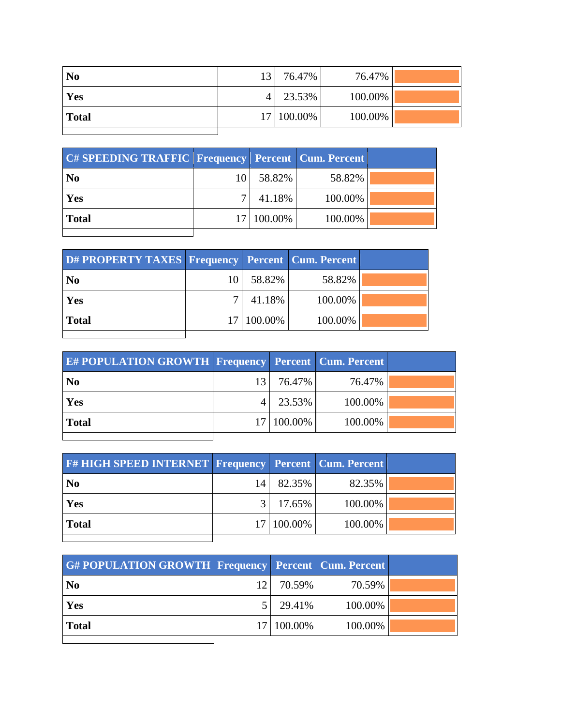| N <sub>0</sub> | 13 <sup>1</sup> | 76.47%     | 76.47%  |  |
|----------------|-----------------|------------|---------|--|
| Yes            |                 | 23.53%     | 100.00% |  |
| <b>Total</b>   |                 | 17 100.00% | 100.00% |  |
|                |                 |            |         |  |

| C# SPEEDING TRAFFIC Frequency Percent Cum. Percent |    |            |         |  |
|----------------------------------------------------|----|------------|---------|--|
| N <sub>0</sub>                                     | 10 | 58.82%     | 58.82%  |  |
| Yes                                                | ⇁  | 41.18%     | 100.00% |  |
| <b>Total</b>                                       |    | 17 100.00% | 100.00% |  |
|                                                    |    |            |         |  |

| D# PROPERTY TAXES   Frequency   Percent   Cum. Percent |            |         |  |
|--------------------------------------------------------|------------|---------|--|
| N <sub>0</sub>                                         | 58.82%     | 58.82%  |  |
| Yes                                                    | 41.18%     | 100.00% |  |
| <b>Total</b>                                           | 17 100.00% | 100.00% |  |
|                                                        |            |         |  |

| <b>E# POPULATION GROWTH Frequency Percent Cum. Percent</b> |                 |            |         |  |
|------------------------------------------------------------|-----------------|------------|---------|--|
| N <sub>0</sub>                                             | 13 <sup>1</sup> | 76.47%     | 76.47%  |  |
| Yes                                                        |                 | 23.53%     | 100.00% |  |
| <b>Total</b>                                               |                 | 17 100.00% | 100.00% |  |
|                                                            |                 |            |         |  |

| <b>F#HIGH SPEED INTERNET Frequency Percent Cum. Percent</b> |      |            |         |  |
|-------------------------------------------------------------|------|------------|---------|--|
| N <sub>0</sub>                                              | 14 I | 82.35%     | 82.35%  |  |
| Yes                                                         |      | 17.65%     | 100.00% |  |
| <b>Total</b>                                                |      | 17 100.00% | 100.00% |  |
|                                                             |      |            |         |  |

| <b>G#POPULATION GROWTH Frequency Percent Cum. Percent</b> |     |            |         |  |
|-----------------------------------------------------------|-----|------------|---------|--|
| N <sub>0</sub>                                            | 12' | 70.59%     | 70.59%  |  |
| Yes                                                       |     | 29.41%     | 100.00% |  |
| <b>Total</b>                                              |     | 17 100.00% | 100.00% |  |
|                                                           |     |            |         |  |

i.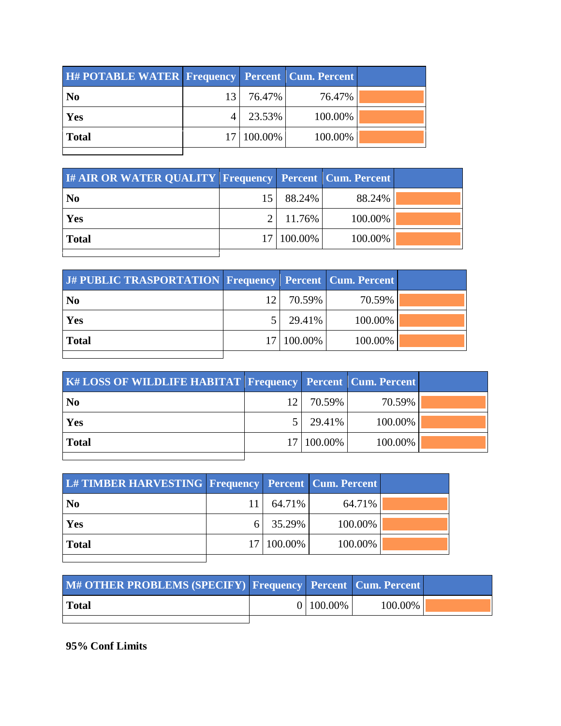| <b>H#POTABLE WATER Frequency Percent Cum. Percent</b> |    |            |         |  |
|-------------------------------------------------------|----|------------|---------|--|
| N <sub>0</sub>                                        | 13 | 76.47%     | 76.47%  |  |
| Yes                                                   |    | 23.53%     | 100.00% |  |
| <b>Total</b>                                          |    | 17 100.00% | 100.00% |  |
|                                                       |    |            |         |  |

| <b>I# AIR OR WATER QUALITY Frequency Percent Cum. Percent</b> |    |            |         |  |
|---------------------------------------------------------------|----|------------|---------|--|
| N <sub>0</sub>                                                | 15 | 88.24%     | 88.24%  |  |
| Yes                                                           |    | 11.76%     | 100.00% |  |
| <b>Total</b>                                                  |    | 17 100.00% | 100.00% |  |
|                                                               |    |            |         |  |

| J# PUBLIC TRASPORTATION Frequency Percent Cum. Percent |    |            |         |  |
|--------------------------------------------------------|----|------------|---------|--|
| N <sub>0</sub>                                         | 12 | 70.59%     | 70.59%  |  |
| Yes                                                    |    | 29.41%     | 100.00% |  |
| <b>Total</b>                                           |    | 17 100.00% | 100.00% |  |
|                                                        |    |            |         |  |

| <b>K# LOSS OF WILDLIFE HABITAT Frequency Percent Cum. Percent</b> |                 |            |         |  |
|-------------------------------------------------------------------|-----------------|------------|---------|--|
| N <sub>0</sub>                                                    | 12 <sub>1</sub> | 70.59%     | 70.59%  |  |
| Yes                                                               |                 | 29.41%     | 100.00% |  |
| <b>Total</b>                                                      |                 | 17 100.00% | 100.00% |  |
|                                                                   |                 |            |         |  |

| L# TIMBER HARVESTING Frequency Percent Cum. Percent |            |         |  |
|-----------------------------------------------------|------------|---------|--|
| N <sub>0</sub>                                      | $64.71\%$  | 64.71%  |  |
| Yes                                                 | 35.29%     | 100.00% |  |
| <b>Total</b>                                        | 17 100.00% | 100.00% |  |
|                                                     |            |         |  |

| M# OTHER PROBLEMS (SPECIFY) Frequency Percent Cum. Percent |           |         |  |
|------------------------------------------------------------|-----------|---------|--|
| Total                                                      | 0 100.00% | 100.00% |  |
|                                                            |           |         |  |

**95% Conf Limits**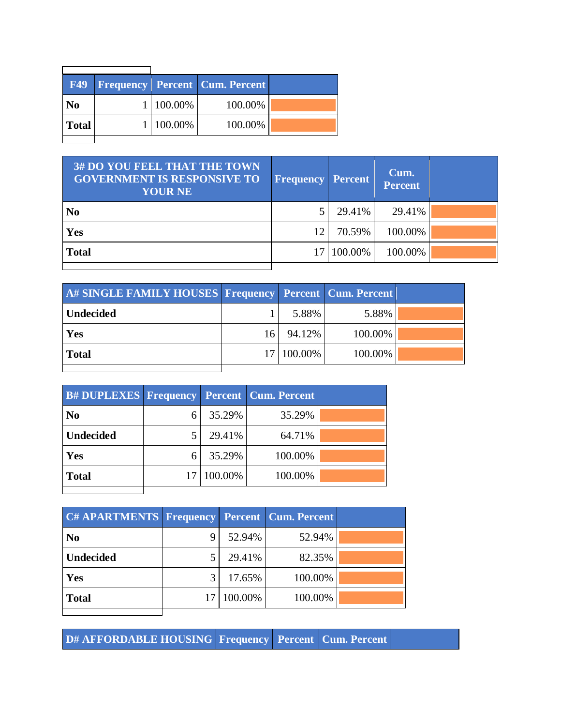|                |           | <b>F49   Frequency   Percent   Cum. Percent  </b> |  |
|----------------|-----------|---------------------------------------------------|--|
| N <sub>0</sub> | 1 100.00% | 100.00%                                           |  |
| <b>Total</b>   | 1 100.00% | 100.00%                                           |  |
|                |           |                                                   |  |

| <b>3# DO YOU FEEL THAT THE TOWN</b><br><b>GOVERNMENT IS RESPONSIVE TO</b><br><b>YOUR NE</b> | <b>Frequency Percent</b> |         | Cum.<br><b>Percent</b> |  |
|---------------------------------------------------------------------------------------------|--------------------------|---------|------------------------|--|
| N <sub>0</sub>                                                                              |                          | 29.41%  | 29.41%                 |  |
| Yes                                                                                         | 12.                      | 70.59%  | 100.00%                |  |
| <b>Total</b>                                                                                | 17                       | 100.00% | 100.00%                |  |
|                                                                                             |                          |         |                        |  |

| A# SINGLE FAMILY HOUSES Frequency Percent Cum. Percent |     |            |         |  |
|--------------------------------------------------------|-----|------------|---------|--|
| Undecided                                              |     | 5.88%      | 5.88%   |  |
| Yes                                                    | 161 | 94.12%     | 100.00% |  |
| <b>Total</b>                                           |     | 17 100.00% | 100.00% |  |
|                                                        |     |            |         |  |

| <b>B# DUPLEXES Frequency Percent Cum. Percent</b> |   |            |         |  |
|---------------------------------------------------|---|------------|---------|--|
| N <sub>o</sub>                                    |   | 35.29%     | 35.29%  |  |
| <b>Undecided</b>                                  |   | 29.41%     | 64.71%  |  |
| Yes                                               | 6 | 35.29%     | 100.00% |  |
| <b>Total</b>                                      |   | 17 100.00% | 100.00% |  |
|                                                   |   |            |         |  |

| C# APARTMENTS Frequency |   |            | <b>Percent   Cum. Percent</b> |  |
|-------------------------|---|------------|-------------------------------|--|
| N <sub>0</sub>          | 9 | 52.94%     | 52.94%                        |  |
| <b>Undecided</b>        |   | 29.41%     | 82.35%                        |  |
| Yes                     |   | 17.65%     | 100.00%                       |  |
| <b>Total</b>            |   | 17 100.00% | 100.00%                       |  |
|                         |   |            |                               |  |

**D# AFFORDABLE HOUSING Frequency Percent Cum. Percent**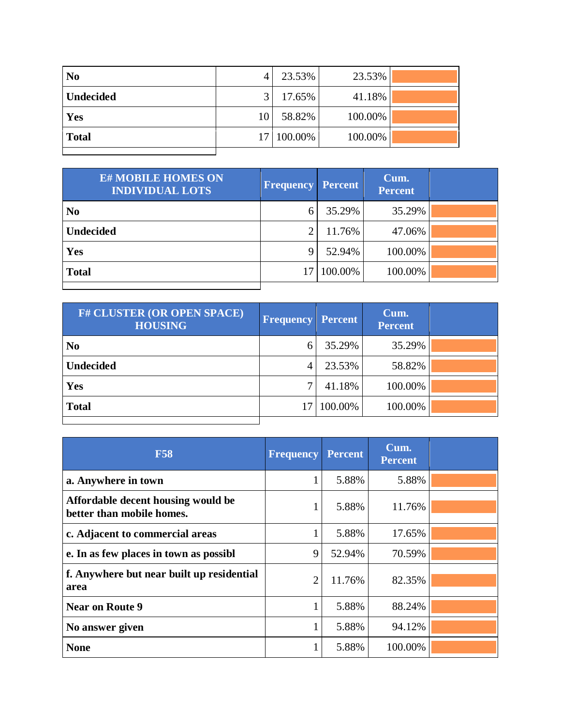| N <sub>0</sub>   | 4             | 23.53%     | 23.53%  |  |
|------------------|---------------|------------|---------|--|
| <b>Undecided</b> | $\mathcal{R}$ | 17.65%     | 41.18%  |  |
| Yes              | 10            | 58.82%     | 100.00% |  |
| <b>Total</b>     |               | 17 100.00% | 100.00% |  |
|                  |               |            |         |  |

| <b>E# MOBILE HOMES ON</b><br><b>INDIVIDUAL LOTS</b> | <b>Frequency</b> | <b>Percent</b> | Cum.<br><b>Percent</b> |  |
|-----------------------------------------------------|------------------|----------------|------------------------|--|
| N <sub>0</sub>                                      | 6                | 35.29%         | 35.29%                 |  |
| <b>Undecided</b>                                    | っ                | 11.76%         | 47.06%                 |  |
| Yes                                                 | 9                | 52.94%         | 100.00%                |  |
| <b>Total</b>                                        | 17               | 100.00%        | 100.00%                |  |
|                                                     |                  |                |                        |  |

| <b>F# CLUSTER (OR OPEN SPACE)</b><br><b>HOUSING</b> | <b>Frequency</b> | <b>Percent</b> | Cum.<br><b>Percent</b> |  |
|-----------------------------------------------------|------------------|----------------|------------------------|--|
| N <sub>0</sub>                                      | 6                | 35.29%         | 35.29%                 |  |
| <b>Undecided</b>                                    | 4                | 23.53%         | 58.82%                 |  |
| Yes                                                 | 7                | 41.18%         | 100.00%                |  |
| <b>Total</b>                                        | 17               | 100.00%        | 100.00%                |  |
|                                                     |                  |                |                        |  |

| <b>F58</b>                                                      | <b>Frequency</b> | <b>Percent</b> | Cum.<br><b>Percent</b> |  |
|-----------------------------------------------------------------|------------------|----------------|------------------------|--|
| a. Anywhere in town                                             |                  | 5.88%          | 5.88%                  |  |
| Affordable decent housing would be<br>better than mobile homes. |                  | 5.88%          | 11.76%                 |  |
| c. Adjacent to commercial areas                                 |                  | 5.88%          | 17.65%                 |  |
| e. In as few places in town as possibl                          | 9                | 52.94%         | 70.59%                 |  |
| f. Anywhere but near built up residential<br>area               | $\overline{2}$   | 11.76%         | 82.35%                 |  |
| <b>Near on Route 9</b>                                          |                  | 5.88%          | 88.24%                 |  |
| No answer given                                                 |                  | 5.88%          | 94.12%                 |  |
| <b>None</b>                                                     |                  | 5.88%          | 100.00%                |  |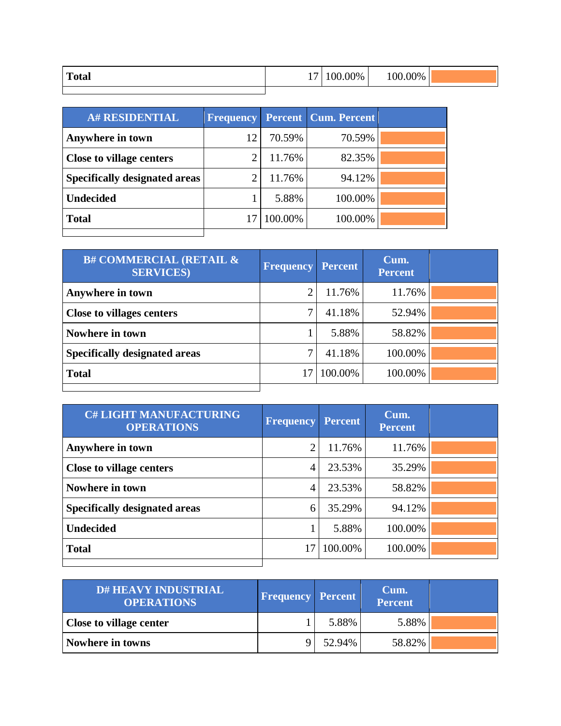| <b>Total</b> | 00.00%<br>- | $100.00\%$ |  |
|--------------|-------------|------------|--|
|              |             |            |  |

| <b>A# RESIDENTIAL</b>                |    |         | <b>Frequency Percent Cum. Percent</b> |  |
|--------------------------------------|----|---------|---------------------------------------|--|
| Anywhere in town                     | 12 | 70.59%  | 70.59%                                |  |
| <b>Close to village centers</b>      | ി  | 11.76%  | 82.35%                                |  |
| <b>Specifically designated areas</b> | ി  | 11.76%  | 94.12%                                |  |
| <b>Undecided</b>                     |    | 5.88%   | 100.00%                               |  |
| <b>Total</b>                         |    | 100.00% | 100.00%                               |  |
|                                      |    |         |                                       |  |

| <b>B# COMMERCIAL (RETAIL &amp;</b><br><b>SERVICES</b> ) | <b>Frequency</b> | <b>Percent</b> | Cum.<br><b>Percent</b> |  |
|---------------------------------------------------------|------------------|----------------|------------------------|--|
| Anywhere in town                                        | 2                | 11.76%         | 11.76%                 |  |
| <b>Close to villages centers</b>                        | 7                | 41.18%         | 52.94%                 |  |
| Nowhere in town                                         |                  | 5.88%          | 58.82%                 |  |
| <b>Specifically designated areas</b>                    | ⇁                | 41.18%         | 100.00%                |  |
| <b>Total</b>                                            | 17               | 100.00%        | 100.00%                |  |
|                                                         |                  |                |                        |  |

| <b>C# LIGHT MANUFACTURING</b><br><b>OPERATIONS</b> | <b>Frequency</b> | <b>Percent</b> | Cum.<br><b>Percent</b> |  |
|----------------------------------------------------|------------------|----------------|------------------------|--|
| Anywhere in town                                   | 2                | 11.76%         | 11.76%                 |  |
| <b>Close to village centers</b>                    | 4                | 23.53%         | 35.29%                 |  |
| Nowhere in town                                    | 4                | 23.53%         | 58.82%                 |  |
| <b>Specifically designated areas</b>               | 6                | 35.29%         | 94.12%                 |  |
| <b>Undecided</b>                                   |                  | 5.88%          | 100.00%                |  |
| <b>Total</b>                                       | 17               | 100.00%        | 100.00%                |  |
|                                                    |                  |                |                        |  |

| <b>D# HEAVY INDUSTRIAL</b><br><b>OPERATIONS</b> | <b>Frequency Percent</b> |        | Cum.<br><b>Percent</b> |  |
|-------------------------------------------------|--------------------------|--------|------------------------|--|
| <b>Close to village center</b>                  |                          | 5.88%  | 5.88%                  |  |
| Nowhere in towns                                |                          | 52.94% | 58.82%                 |  |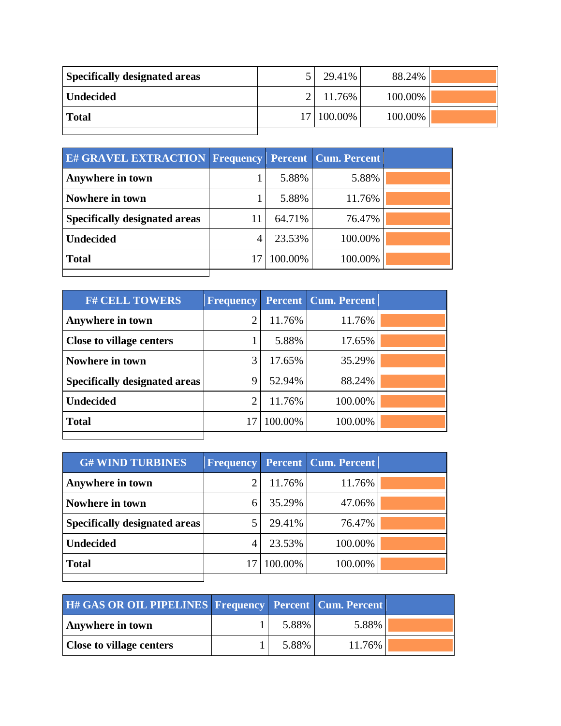| <b>Specifically designated areas</b> | 29.41%     | 88.24%  |  |
|--------------------------------------|------------|---------|--|
| <b>Undecided</b>                     | 11.76%     | 100.00% |  |
| <b>Total</b>                         | 17 100.00% | 100.00% |  |

| <b>E# GRAVEL EXTRACTION Frequency</b> |    |         | <b>Percent   Cum. Percent</b> |  |
|---------------------------------------|----|---------|-------------------------------|--|
| Anywhere in town                      |    | 5.88%   | 5.88%                         |  |
| Nowhere in town                       |    | 5.88%   | 11.76%                        |  |
| <b>Specifically designated areas</b>  | 11 | 64.71%  | 76.47%                        |  |
| <b>Undecided</b>                      | 4  | 23.53%  | 100.00%                       |  |
| <b>Total</b>                          |    | 100.00% | 100.00%                       |  |
|                                       |    |         |                               |  |

| <b>F# CELL TOWERS</b>                | <b>Frequency</b> |         | <b>Percent Cum. Percent</b> |  |
|--------------------------------------|------------------|---------|-----------------------------|--|
| Anywhere in town                     | ി                | 11.76%  | 11.76%                      |  |
| <b>Close to village centers</b>      |                  | 5.88%   | 17.65%                      |  |
| Nowhere in town                      | 3                | 17.65%  | 35.29%                      |  |
| <b>Specifically designated areas</b> | q                | 52.94%  | 88.24%                      |  |
| <b>Undecided</b>                     | ⌒                | 11.76%  | 100.00%                     |  |
| <b>Total</b>                         | 17               | 100.00% | 100.00%                     |  |
|                                      |                  |         |                             |  |

| <b>G# WIND TURBINES</b>              | <b>Frequency</b> |         | <b>Percent Cum. Percent</b> |  |
|--------------------------------------|------------------|---------|-----------------------------|--|
| Anywhere in town                     |                  | 11.76%  | 11.76%                      |  |
| Nowhere in town                      | 6                | 35.29%  | 47.06%                      |  |
| <b>Specifically designated areas</b> |                  | 29.41%  | 76.47%                      |  |
| <b>Undecided</b>                     |                  | 23.53%  | 100.00%                     |  |
| <b>Total</b>                         |                  | 100.00% | 100.00%                     |  |
|                                      |                  |         |                             |  |

| H# GAS OR OIL PIPELINES Frequency Percent Cum. Percent |       |        |  |
|--------------------------------------------------------|-------|--------|--|
| Anywhere in town                                       | 5.88% | 5.88%  |  |
| <b>Close to village centers</b>                        | 5.88% | 11.76% |  |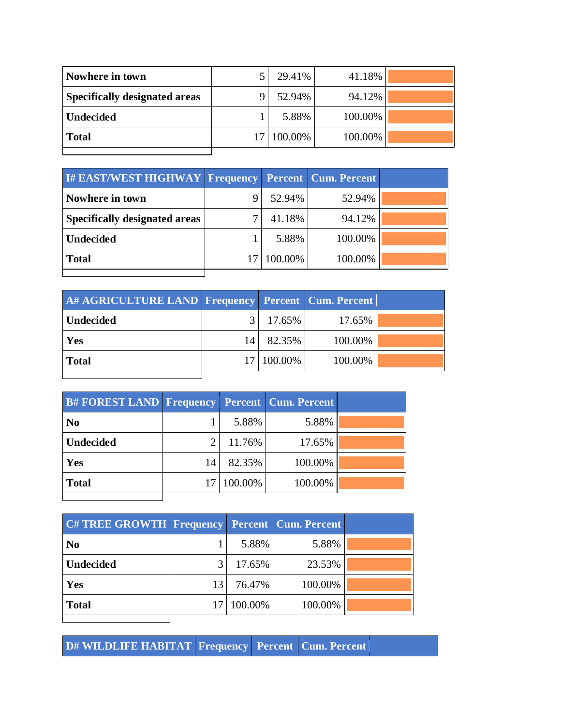| Nowhere in town                      | 29.41%     | 41.18%  |  |
|--------------------------------------|------------|---------|--|
| <b>Specifically designated areas</b> | 52.94%     | 94.12%  |  |
| <b>Undecided</b>                     | 5.88%      | 100.00% |  |
| <b>Total</b>                         | 17 100.00% | 100.00% |  |
|                                      |            |         |  |

| <b>I# EAST/WEST HIGHWAY Frequency Percent Cum. Percent</b> |         |         |  |
|------------------------------------------------------------|---------|---------|--|
| Nowhere in town                                            | 52.94%  | 52.94%  |  |
| <b>Specifically designated areas</b>                       | 41.18%  | 94.12%  |  |
| <b>Undecided</b>                                           | 5.88%   | 100.00% |  |
| <b>Total</b>                                               | 100.00% | 100.00% |  |
|                                                            |         |         |  |

| A# AGRICULTURE LAND Frequency Percent Cum. Percent |    |            |         |  |
|----------------------------------------------------|----|------------|---------|--|
| <b>Undecided</b>                                   |    | 17.65%     | 17.65%  |  |
| <b>Yes</b>                                         | 14 | 82.35%     | 100.00% |  |
| Total                                              |    | 17 100.00% | 100.00% |  |
|                                                    |    |            |         |  |

| <b>B#FOREST LAND Frequency Percent Cum. Percent</b> |    |            |         |  |
|-----------------------------------------------------|----|------------|---------|--|
| N <sub>0</sub>                                      |    | 5.88%      | 5.88%   |  |
| <b>Undecided</b>                                    |    | 11.76%     | 17.65%  |  |
| Yes                                                 | 14 | 82.35%     | 100.00% |  |
| <b>Total</b>                                        |    | 17 100.00% | 100.00% |  |
|                                                     |    |            |         |  |

| <b>C#TREE GROWTH Frequency Percent Cum. Percent</b> |    |            |         |  |
|-----------------------------------------------------|----|------------|---------|--|
| N <sub>0</sub>                                      |    | 5.88%      | 5.88%   |  |
| <b>Undecided</b>                                    |    | 17.65%     | 23.53%  |  |
| Yes                                                 | 13 | 76.47%     | 100.00% |  |
| <b>Total</b>                                        |    | 17 100.00% | 100.00% |  |
|                                                     |    |            |         |  |

**D# WILDLIFE HABITAT Frequency Percent Cum. Percent**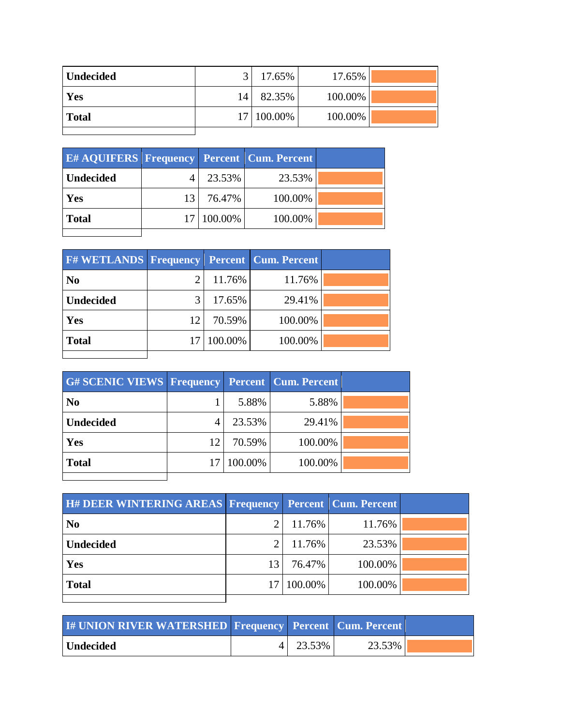| Undecided    | $\mathbf{r}$ | 17.65%     | 17.65%  |  |
|--------------|--------------|------------|---------|--|
| Yes          | 14           | 82.35%     | 100.00% |  |
| <b>Total</b> |              | 17 100.00% | 100.00% |  |
|              |              |            |         |  |

| <b>E#AQUIFERS Frequency Percent Cum. Percent</b> |                 |              |         |  |
|--------------------------------------------------|-----------------|--------------|---------|--|
| <b>Undecided</b>                                 |                 | 23.53%       | 23.53%  |  |
| Yes                                              | 13 <sup>1</sup> | 76.47%       | 100.00% |  |
| <b>Total</b>                                     |                 | 17   100.00% | 100.00% |  |
|                                                  |                 |              |         |  |

| <b>F#WETLANDS Frequency Percent Cum. Percent</b> |    |            |         |  |
|--------------------------------------------------|----|------------|---------|--|
| N <sub>0</sub>                                   | 2  | 11.76%     | 11.76%  |  |
| <b>Undecided</b>                                 | 3  | 17.65%     | 29.41%  |  |
| Yes                                              | 12 | 70.59%     | 100.00% |  |
| <b>Total</b>                                     |    | 17 100.00% | 100.00% |  |
|                                                  |    |            |         |  |

| <b>G# SCENIC VIEWS Frequency Percent Cum. Percent</b> |    |         |         |  |
|-------------------------------------------------------|----|---------|---------|--|
| N <sub>0</sub>                                        |    | 5.88%   | 5.88%   |  |
| <b>Undecided</b>                                      |    | 23.53%  | 29.41%  |  |
| Yes                                                   | 12 | 70.59%  | 100.00% |  |
| <b>Total</b>                                          |    | 100.00% | 100.00% |  |
|                                                       |    |         |         |  |

| <b>H# DEER WINTERING AREAS Frequency Percent Cum. Percent</b> |    |         |         |  |
|---------------------------------------------------------------|----|---------|---------|--|
| N <sub>0</sub>                                                |    | 11.76%  | 11.76%  |  |
| <b>Undecided</b>                                              |    | 11.76%  | 23.53%  |  |
| Yes                                                           | 13 | 76.47%  | 100.00% |  |
| <b>Total</b>                                                  | 17 | 100.00% | 100.00% |  |
|                                                               |    |         |         |  |

| <b>I# UNION RIVER WATERSHED Frequency Percent Cum. Percent</b> |        |        |  |
|----------------------------------------------------------------|--------|--------|--|
| Undecided                                                      | 23.53% | 23.53% |  |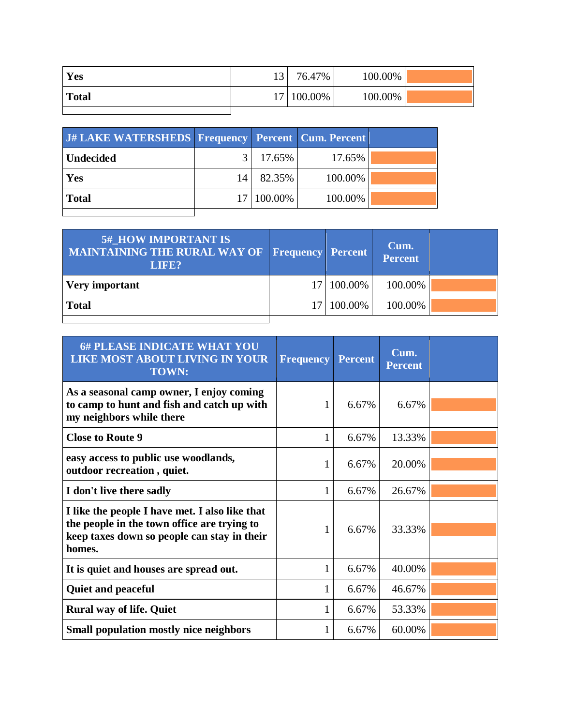| Yes          | 13 | 76.47%     | 100.00% |  |
|--------------|----|------------|---------|--|
| <b>Total</b> |    | 17 100.00% | 100.00% |  |
|              |    |            |         |  |

| J# LAKE WATERSHEDS Frequency Percent Cum. Percent |    |            |         |  |
|---------------------------------------------------|----|------------|---------|--|
| Undecided                                         |    | $17.65\%$  | 17.65%  |  |
| Yes                                               | 14 | 82.35%     | 100.00% |  |
| Total                                             |    | 17 100.00% | 100.00% |  |
|                                                   |    |            |         |  |

| <b>5#_HOW IMPORTANT IS</b><br><b>MAINTAINING THE RURAL WAY OF Frequency Percent</b><br>LIFE? |              | Cum.<br>Percent |  |
|----------------------------------------------------------------------------------------------|--------------|-----------------|--|
| <b>Very important</b>                                                                        | 17   100.00% | 100.00%         |  |
| <b>Total</b>                                                                                 | 17 100.00%   | 100.00%         |  |
|                                                                                              |              |                 |  |

| <b>6# PLEASE INDICATE WHAT YOU</b><br><b>LIKE MOST ABOUT LIVING IN YOUR</b><br><b>TOWN:</b>                                                            | <b>Frequency</b> | <b>Percent</b> | Cum.<br><b>Percent</b> |  |
|--------------------------------------------------------------------------------------------------------------------------------------------------------|------------------|----------------|------------------------|--|
| As a seasonal camp owner, I enjoy coming<br>to camp to hunt and fish and catch up with<br>my neighbors while there                                     | 1                | 6.67%          | 6.67%                  |  |
| <b>Close to Route 9</b>                                                                                                                                | $\mathbf{1}$     | 6.67%          | 13.33%                 |  |
| easy access to public use woodlands,<br>outdoor recreation, quiet.                                                                                     | 1                | 6.67%          | 20.00%                 |  |
| I don't live there sadly                                                                                                                               | 1                | 6.67%          | 26.67%                 |  |
| I like the people I have met. I also like that<br>the people in the town office are trying to<br>keep taxes down so people can stay in their<br>homes. | 1                | 6.67%          | 33.33%                 |  |
| It is quiet and houses are spread out.                                                                                                                 |                  | 6.67%          | 40.00%                 |  |
| <b>Quiet and peaceful</b>                                                                                                                              | $\mathbf{1}$     | 6.67%          | 46.67%                 |  |
| <b>Rural way of life. Quiet</b>                                                                                                                        |                  | 6.67%          | 53.33%                 |  |
| <b>Small population mostly nice neighbors</b>                                                                                                          | 1                | 6.67%          | 60.00%                 |  |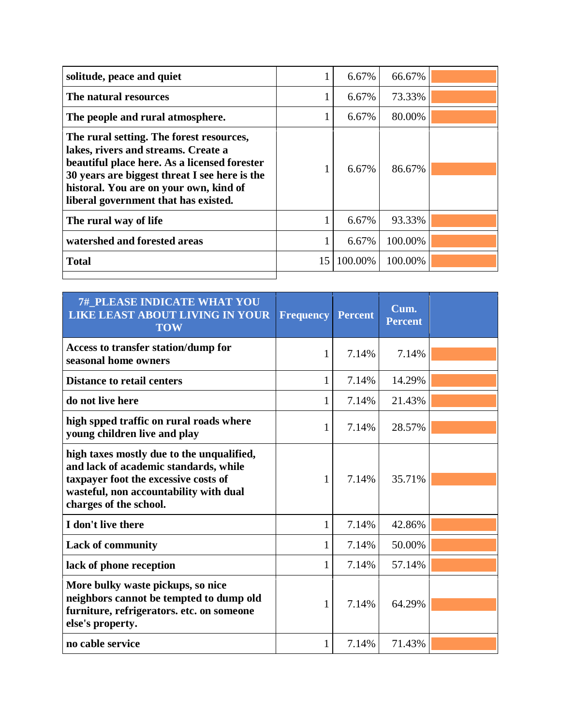| solitude, peace and quiet                                                                                                                                                                                                                                          |              | 6.67%   | 66.67%  |  |
|--------------------------------------------------------------------------------------------------------------------------------------------------------------------------------------------------------------------------------------------------------------------|--------------|---------|---------|--|
| The natural resources                                                                                                                                                                                                                                              |              | 6.67%   | 73.33%  |  |
| The people and rural atmosphere.                                                                                                                                                                                                                                   | $\mathbf{I}$ | 6.67%   | 80.00%  |  |
| The rural setting. The forest resources,<br>lakes, rivers and streams. Create a<br>beautiful place here. As a licensed forester<br>30 years are biggest threat I see here is the<br>historal. You are on your own, kind of<br>liberal government that has existed. |              | 6.67%   | 86.67%  |  |
| The rural way of life                                                                                                                                                                                                                                              |              | 6.67%   | 93.33%  |  |
| watershed and forested areas                                                                                                                                                                                                                                       |              | 6.67%   | 100.00% |  |
| <b>Total</b>                                                                                                                                                                                                                                                       | 15           | 100.00% | 100.00% |  |
|                                                                                                                                                                                                                                                                    |              |         |         |  |

| <b>7#_PLEASE INDICATE WHAT YOU</b><br><b>LIKE LEAST ABOUT LIVING IN YOUR</b><br><b>TOW</b>                                                                                                     | Frequency | <b>Percent</b> | Cum.<br><b>Percent</b> |  |
|------------------------------------------------------------------------------------------------------------------------------------------------------------------------------------------------|-----------|----------------|------------------------|--|
| Access to transfer station/dump for<br>seasonal home owners                                                                                                                                    | 1         | 7.14%          | 7.14%                  |  |
| <b>Distance to retail centers</b>                                                                                                                                                              | 1         | 7.14%          | 14.29%                 |  |
| do not live here                                                                                                                                                                               |           | 7.14%          | 21.43%                 |  |
| high spped traffic on rural roads where<br>young children live and play                                                                                                                        | 1         | 7.14%          | 28.57%                 |  |
| high taxes mostly due to the unqualified,<br>and lack of academic standards, while<br>taxpayer foot the excessive costs of<br>wasteful, non accountability with dual<br>charges of the school. |           | 7.14%          | 35.71%                 |  |
| I don't live there                                                                                                                                                                             | 1         | 7.14%          | 42.86%                 |  |
| <b>Lack of community</b>                                                                                                                                                                       | 1         | 7.14%          | 50.00%                 |  |
| lack of phone reception                                                                                                                                                                        | 1         | 7.14%          | 57.14%                 |  |
| More bulky waste pickups, so nice<br>neighbors cannot be tempted to dump old<br>furniture, refrigerators. etc. on someone<br>else's property.                                                  | 1         | 7.14%          | 64.29%                 |  |
| no cable service                                                                                                                                                                               |           | 7.14%          | 71.43%                 |  |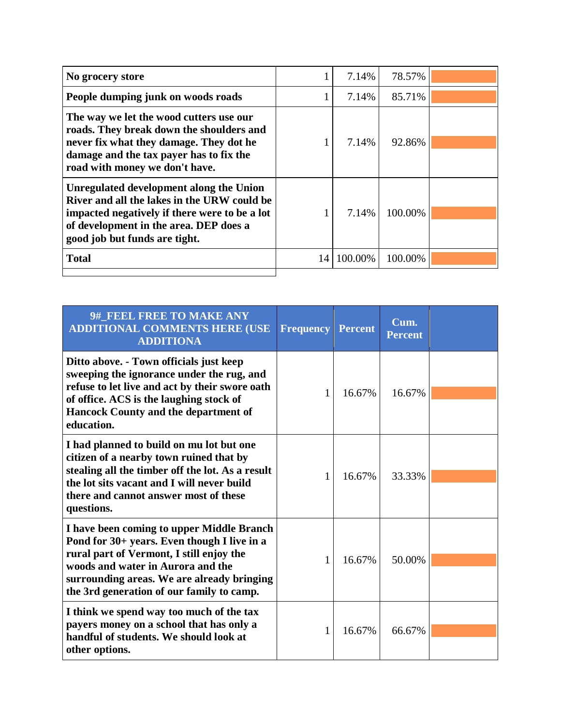| No grocery store                                                                                                                                                                                                   |    | 7.14%   | 78.57%  |  |
|--------------------------------------------------------------------------------------------------------------------------------------------------------------------------------------------------------------------|----|---------|---------|--|
| People dumping junk on woods roads                                                                                                                                                                                 |    | 7.14%   | 85.71%  |  |
| The way we let the wood cutters use our<br>roads. They break down the shoulders and<br>never fix what they damage. They dot he<br>damage and the tax payer has to fix the<br>road with money we don't have.        |    | 7.14%   | 92.86%  |  |
| Unregulated development along the Union<br>River and all the lakes in the URW could be<br>impacted negatively if there were to be a lot<br>of development in the area. DEP does a<br>good job but funds are tight. |    | 7.14%   | 100.00% |  |
| <b>Total</b>                                                                                                                                                                                                       | 14 | 100.00% | 100.00% |  |
|                                                                                                                                                                                                                    |    |         |         |  |

| 9# FEEL FREE TO MAKE ANY<br><b>ADDITIONAL COMMENTS HERE (USE</b><br><b>ADDITIONA</b>                                                                                                                                                                                 | <b>Frequency</b> | <b>Percent</b> | Cum.<br><b>Percent</b> |  |
|----------------------------------------------------------------------------------------------------------------------------------------------------------------------------------------------------------------------------------------------------------------------|------------------|----------------|------------------------|--|
| Ditto above. - Town officials just keep<br>sweeping the ignorance under the rug, and<br>refuse to let live and act by their swore oath<br>of office. ACS is the laughing stock of<br><b>Hancock County and the department of</b><br>education.                       | 1                | 16.67%         | 16.67%                 |  |
| I had planned to build on mu lot but one<br>citizen of a nearby town ruined that by<br>stealing all the timber off the lot. As a result<br>the lot sits vacant and I will never build<br>there and cannot answer most of these<br>questions.                         | 1                | 16.67%         | 33.33%                 |  |
| I have been coming to upper Middle Branch<br>Pond for 30+ years. Even though I live in a<br>rural part of Vermont, I still enjoy the<br>woods and water in Aurora and the<br>surrounding areas. We are already bringing<br>the 3rd generation of our family to camp. | 1                | 16.67%         | 50.00%                 |  |
| I think we spend way too much of the tax<br>payers money on a school that has only a<br>handful of students. We should look at<br>other options.                                                                                                                     | 1                | 16.67%         | 66.67%                 |  |